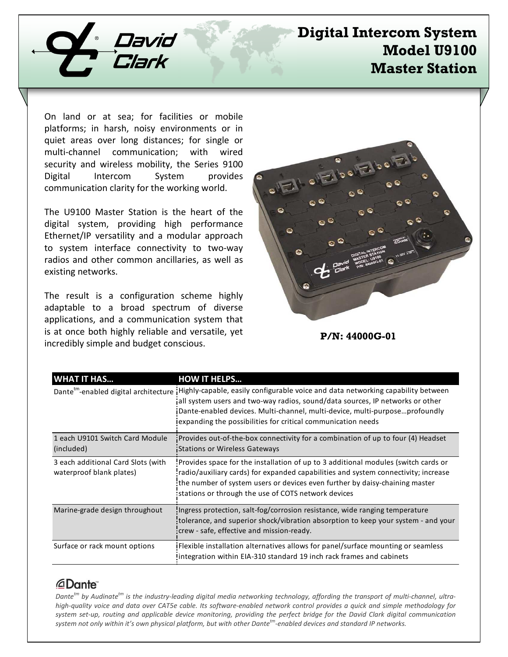

# **Digital Intercom System Model U9100 Master Station**

On land or at sea; for facilities or mobile platforms; in harsh, noisy environments or in quiet areas over long distances; for single or multi-channel communication; with wired security and wireless mobility, the Series 9100 Digital Intercom System provides communication clarity for the working world.

The U9100 Master Station is the heart of the digital system, providing high performance Ethernet/IP versatility and a modular approach to system interface connectivity to two-way radios and other common ancillaries, as well as existing networks.

The result is a configuration scheme highly adaptable to a broad spectrum of diverse applications, and a communication system that is at once both highly reliable and versatile, yet incredibly simple and budget conscious.



### **P/N: 44000G-01**

| <b>WHAT IT HAS</b>                                             | <b>HOW IT HELPS</b>                                                                                                                                                                                                                                                                                                                                                 |
|----------------------------------------------------------------|---------------------------------------------------------------------------------------------------------------------------------------------------------------------------------------------------------------------------------------------------------------------------------------------------------------------------------------------------------------------|
|                                                                | Dante <sup>tm</sup> -enabled digital architecture iHighly-capable, easily configurable voice and data networking capability between<br>all system users and two-way radios, sound/data sources, IP networks or other<br>Dante-enabled devices. Multi-channel, multi-device, multi-purposeprofoundly<br>expanding the possibilities for critical communication needs |
| 1 each U9101 Switch Card Module<br>(included)                  | Provides out-of-the-box connectivity for a combination of up to four (4) Headset<br><b>Stations or Wireless Gateways</b>                                                                                                                                                                                                                                            |
| 3 each additional Card Slots (with<br>waterproof blank plates) | Provides space for the installation of up to 3 additional modules (switch cards or<br>radio/auxiliary cards) for expanded capabilities and system connectivity; increase<br>the number of system users or devices even further by daisy-chaining master<br>stations or through the use of COTS network devices                                                      |
| Marine-grade design throughout                                 | Ingress protection, salt-fog/corrosion resistance, wide ranging temperature<br>tolerance, and superior shock/vibration absorption to keep your system - and your<br>crew - safe, effective and mission-ready.                                                                                                                                                       |
| Surface or rack mount options                                  | iFlexible installation alternatives allows for panel/surface mounting or seamless<br>Integration within EIA-310 standard 19 inch rack frames and cabinets                                                                                                                                                                                                           |

## *<u></u>Dante*

*Dantetm by Audinatetm is the industry-leading digital media networking technology, affording the transport of multi-channel, ultrahigh-quality voice and data over CAT5e cable. Its software-enabled network control provides a quick and simple methodology for system set-up, routing and applicable device monitoring, providing the perfect bridge for the David Clark digital communication system not only within it's own physical platform, but with other Dantetm-enabled devices and standard IP networks.*